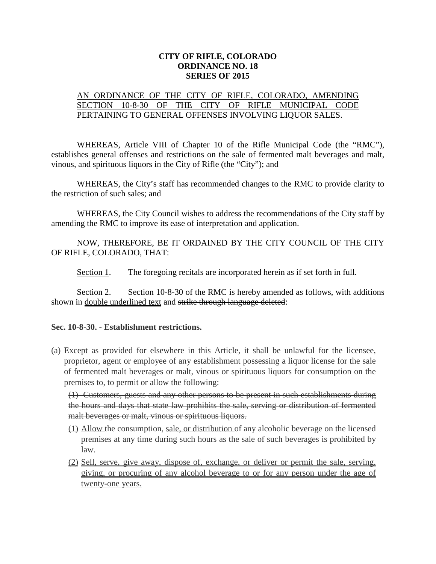## **CITY OF RIFLE, COLORADO ORDINANCE NO. 18 SERIES OF 2015**

## AN ORDINANCE OF THE CITY OF RIFLE, COLORADO, AMENDING SECTION 10-8-30 OF THE CITY OF RIFLE MUNICIPAL CODE PERTAINING TO GENERAL OFFENSES INVOLVING LIQUOR SALES.

WHEREAS, Article VIII of Chapter 10 of the Rifle Municipal Code (the "RMC"), establishes general offenses and restrictions on the sale of fermented malt beverages and malt, vinous, and spirituous liquors in the City of Rifle (the "City"); and

WHEREAS, the City's staff has recommended changes to the RMC to provide clarity to the restriction of such sales; and

WHEREAS, the City Council wishes to address the recommendations of the City staff by amending the RMC to improve its ease of interpretation and application.

NOW, THEREFORE, BE IT ORDAINED BY THE CITY COUNCIL OF THE CITY OF RIFLE, COLORADO, THAT:

Section 1. The foregoing recitals are incorporated herein as if set forth in full.

Section 2. Section 10-8-30 of the RMC is hereby amended as follows, with additions shown in double underlined text and strike through language deleted:

## **Sec. 10-8-30. - Establishment restrictions.**

(a) Except as provided for elsewhere in this Article, it shall be unlawful for the licensee, proprietor, agent or employee of any establishment possessing a liquor license for the sale of fermented malt beverages or malt, vinous or spirituous liquors for consumption on the premises to, to permit or allow the following:

(1) Customers, guests and any other persons to be present in such establishments during the hours and days that state law prohibits the sale, serving or distribution of fermented malt beverages or malt, vinous or spirituous liquors.

- (1) Allow the consumption, sale, or distribution of any alcoholic beverage on the licensed premises at any time during such hours as the sale of such beverages is prohibited by law.
- (2) Sell, serve, give away, dispose of, exchange, or deliver or permit the sale, serving, giving, or procuring of any alcohol beverage to or for any person under the age of twenty-one years.